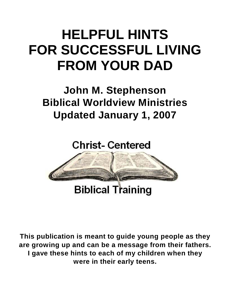# **HELPFUL HINTS FOR SUCCESSFUL LIVING FROM YOUR DAD**

# **John M. Stephenson Biblical Worldview Ministries Updated January 1, 2007**

# **Christ-Centered**



**This publication is meant to guide young people as they are growing up and can be a message from their fathers. I gave these hints to each of my children when they were in their early teens.**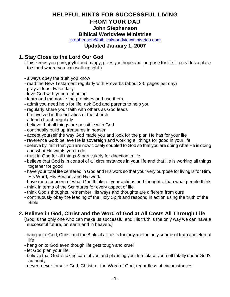#### **HELPFUL HINTS FOR SUCCESSFUL LIVING FROM YOUR DAD John Stephenson Biblical Worldview Ministries**

[jstephenson@biblicalworldviewministries.com](mailto:jstephenson@biblicalworldviewministries.com)

#### **Updated January 1, 2007**

#### **1. Stay Close to the Lord Our God**

(This keeps you pure, joyful and happy, gives you hope and purpose for life, it provides a place to stand where you can walk upright.)

- always obey the truth you know
- read the New Testament regularly with Proverbs (about 3-5 pages per day)
- pray at least twice daily
- love God with your total being
- learn and memorize the promises and use them
- admit you need help for life, ask God and parents to help you
- regularly share your faith with others as God leads
- be involved in the activities of the church
- attend church regularly
- believe that all things are possible with God
- continually build up treasures in heaven
- accept yourself the way God made you and look for the plan He has for your life
- reverence God; believe He is sovereign and working all things for good in your life
- believe by faith that you are now closely coupled to God so that you are doing what He is doing and what He wants you to do
- trust in God for all things & particularly for direction in life
- believe that God is in control of all circumstances in your life and that He is working all things together for good
- have your total life centered in God and His work so that your very purpose for living is for Him, His Word, His Person, and His work
- have more concern of what God thinks of your actions and thoughts, than what people think
- think in terms of the Scriptures for every aspect of life
- think God's thoughts, remember His ways and thoughts are different from ours
- continuously obey the leading of the Holy Spirit and respond in action using the truth of the Bible

## **2. Believe in God, Christ and the Word of God at All Costs All Through Life**

**(**God is the only one who can make us successful and His truth is the only way we can have a successful future, on earth and in heaven.)

- hang on to God, Christ and the Bible at all costs for they are the only source of truth and eternal life
- hang on to God even though life gets tough and cruel
- let God plan your life
- believe that God is taking care of you and planning your life -place yourself totally under God's authority
- never, never forsake God, Christ, or the Word of God, regardless of circumstances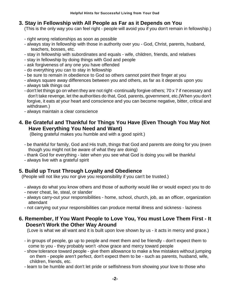## **3. Stay in Fellowship with All People as Far as it Depends on You**

(This is the only way you can feel right - people will avoid you if you don't remain in fellowship.)

- right wrong relationships as soon as possible
- always stay in fellowship with those in authority over you God, Christ, parents, husband, teachers, bosses, etc.
- stay in fellowship with subordinates and equals wife, children, friends, and relatives
- stay in fellowship by doing things with God and people
- ask forgiveness of any one you have offended
- do everything you can to stay in fellowship
- be sure to remain in obedience to God so others cannot point their finger at you
- always square away differences between you and others, as far as it depends upon you
- always talk things out
- don't let things go on when they are not right -continually forgive others; 70 x 7 if necessary and don't take revenge, let the authorities do that, God, parents, government, etc.(When you don't forgive, it eats at your heart and conscience and you can become negative, bitter, critical and withdrawn.)
- always maintain a clear conscience

# **4. Be Grateful and Thankful for Things You Have (Even Though You May Not Have Everything You Need and Want)**

(Being grateful makes you humble and with a good spirit.)

- be thankful for family, God and His truth, things that God and parents are doing for you (even though you might not be aware of what they are doing)
- thank God for everything later when you see what God is doing you will be thankful
- always live with a grateful spirit

## **5. Build up Trust Through Loyalty and Obedience**

(People will not like you nor give you responsibility if you can't be trusted.)

- always do what you know others and those of authority would like or would expect you to do
- never cheat, lie, steal, or slander
- always carry-out your responsibilities home, school, church, job, as an officer, organization attendant
- not carrying out your responsibilities can produce mental illness and sickness laziness

#### **6. Remember, If You Want People to Love You, You must Love Them First - It Doesn't Work the Other Way Around**

(Love is what we all want and it is built upon love shown by us - it acts in mercy and grace.)

- in groups of people, go up to people and meet them and be friendly don't expect them to come to you - they probably won't -show grace and mercy toward people
- show tolerance toward people give them allowance to make a few mistakes without jumping on them - people aren't perfect, don't expect them to be - such as parents, husband, wife, children, friends, etc.
- learn to be humble and don't let pride or selfishness from showing your love to those who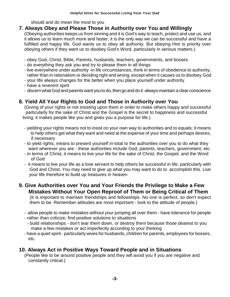should and do mean the most to you

## **7. Always Obey and Please Those in Authority over You and Willingly**

(Obeying authorities keeps us from sinning and it is God's way to teach, protect and use us, and it allows us to learn much more and faster; it is the only way we can be successful and have a fulfilled and happy life. God wants us to obey all authority. But obeying Him is priority over obeying others if they want us to disobey God's Word, particularly in serious matters.)

- obey God, Christ, Bible, Parents, husbands, teachers, governments, and bosses
- do everything they ask you and try to please them in all things
- live everywhere under authority -in life circumstances, think in terms of obedience to authority, rather than in rationalism or deciding right and wrong, except when it causes us to disobey God
- your life always changes for the better when you place yourself under authority
- have a reverent spirit
- discern what God and parents want you to do, then go and do it -always maintain a clear conscience

# **8. Yield All Your Rights to God and Those in Authority over You**

(Giving of your rights or not insisting upon them in order to make others happy and successful particularly for the sake of Christ and the Gospel is the secret to happiness and successful living; it makes people like you and gives you a purpose for life.)

- yielding your rights means not to insist on your own way to authorities and to equals; it means to help others get what they want and need at the expense of your time and perhaps desires, if necessary
- to yield rights, means to present yourself in-total to the authorities over you to do what they want wherever you are - these authorities include God, parents, teachers, government, etc.
- in terms of Christ, it means to live your life for the sake of Christ, the Gospel, and the Word of God
- it means to live your life as a love servant to help others be successful in life, particularly with God and Christ, You may need to give up what you may want to do to accomplish this. Live your life therefore to build up treasures in heaven

# **9. Give Authorities over You and Your Friends the Privilege to Make a Few Mistakes Without Your Open Reproof of Them or Being Critical of Them**

(It is important to maintain friendships and fellowships. No one is perfect, so don't expect them to be. Remember attitudes are most important - look to the attitude of people.)

- allow people to make mistakes without your jumping all over them have tolerance for people
- rather than criticize, find positive solutions to situations
- build relationships don't tear them down, or destroy them because those dearest to you make a few mistakes or act imperfectly according to your thinking
- have a quiet spirit particularly wives for husbands, children for parents, employees for bosses, etc.

## **10. Always Act in Positive Ways Toward People and in Situations**

(People like to be around positive people and they will avoid you if you are negative and constantly critical.)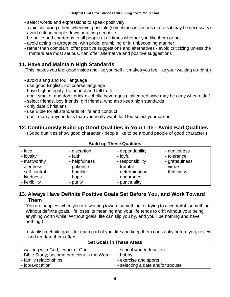- select words and expressions to speak positively
- avoid criticizing others whenever possible (sometimes in serious matters it may be necessary)
- avoid cutting people down or acting negative
- be polite and courteous to all people at all times whether you like them or not
- avoid acting in arrogance, with pride, grumbling or in unbecoming manner
- rather than complain, offer positive suggestions and alternatives avoid criticizing unless the matters are most serious, can offer alternative and positive suggestions

# **11. Have and Maintain High Standards**

(This makes you feel good inside and like yourself - it makes you feel like your walking up-right.)

- avoid slang and foul language
- use good English, not coarse language
- have high integrity, be honest and tell truth
- don't smoke, and don't drink alcoholic beverages (limited red wine may be okay when older)
- select friends, boy friends, girl friends, who also keep high standards
- only date Christians
- use Bible for all standards of life and conduct
- don't marry anyone less than you really want; let God select your partner

# **12. Continuously Build-up Good Qualities in Your Life - Avoid Bad Qualities**

(Good qualities show good character - people like to be around people of good character.)

| - love<br>- loyalty<br>- trustworthy<br>- alertness<br>- self-control | - discretion<br>- faith<br>- helpfulness<br>- patience<br>- humble | - dependability<br>- joyful<br>- responsibility<br>- truthful<br>- determination | - gentleness<br>- tolerance<br>- gratefulness<br>- virtue<br>- thriftiness - |  |  |
|-----------------------------------------------------------------------|--------------------------------------------------------------------|----------------------------------------------------------------------------------|------------------------------------------------------------------------------|--|--|
| - kindness                                                            | - hope                                                             | - endurance                                                                      |                                                                              |  |  |
| - flexibility                                                         | - purity                                                           | - punctuality                                                                    |                                                                              |  |  |

#### **Build up These Qualities**

#### **13. Always Have Definite Positive Goals Set Before You, and Work Toward Them**

(You are happiest when you are working toward something, or trying to accomplish something. Without definite goals, life loses its meaning and your life tends to drift without your being anything worth while. Without goals, life can slip you by, and you'll be nothing and have nothing.)

- establish definite goals for each part of your life and keep them constantly before you, review and up-date them often

| - walking with God; - work of God            | - school work/education          |
|----------------------------------------------|----------------------------------|
| - Bible Study; become proficient in the Word | - hobby                          |
| - family relationships                       | - exercise and sports            |
| - job/avocation                              | - selecting a date and/or spouse |

#### **Set Goals in These Areas**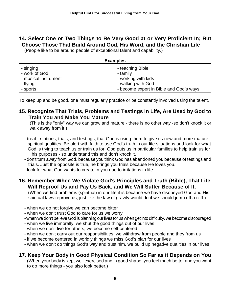# **14. Select One or Two Things to Be Very Good at or Very Proficient In; But Choose Those That Build Around God, His Word, and the Christian Life**

(People like to be around people of exceptional talent and capability.)

| <b>Examples</b>      |                                         |  |  |
|----------------------|-----------------------------------------|--|--|
| - singing            | - teaching Bible                        |  |  |
| - work of God        | - family                                |  |  |
| - musical instrument | - working with kids                     |  |  |
| - flying             | - walking with God                      |  |  |
| - sports             | - become expert in Bible and God's ways |  |  |

To keep up and be good, one must regularly practice or be constantly involved using the talent.

#### **15. Recognize That Trials, Problems and Testings in Life, Are Used by God to Train You and Make You Mature**

(This is the "only" way we can grow and mature - there is no other way -so don't knock it or walk away from it.)

- treat irritations, trials, and testings, that God is using them to give us new and more mature spiritual qualities. Be alert with faith to use God's truth in our life situations and look for what God is trying to teach us or train us for. God puts us in particular families to help train us for his purposes - so understand this and don't knock it.
- don't turn away from God, because you think God has abandoned you because of testings and trials. Just the opposite is true, he brings you trials because He loves you.
- look for what God wants to create in you due to irritations in life.

#### **16. Remember When We Violate God's Principles and Truth (Bible), That Life Will Reproof Us and Pay Us Back, and We Will Suffer Because of It.**

 (When we find problems (spiritual) in our life it is because we have disobeyed God and His spiritual laws reprove us, just like the law of gravity would do if we should jump off a cliff.)

- when we do not forgive we can become bitter
- when we don't trust God to care for us we worry
- when we don't believe God is planning our lives for us when get into difficulty, we become discouraged
- when we live immorally, we shut the good things out of our lives
- when we don't live for others, we become self-centered
- when we don't carry out our responsibilities, we withdraw from people and they from us
- if we become centered in worldly things we miss God's plan for our lives
- when we don't do things God's way and trust him, we build up negative qualities in our lives

## **17. Keep Your Body in Good Physical Condition So Far as it Depends on You**

(When your body is kept well exercised and in good shape, you feel much better and you want to do more things - you also look better.)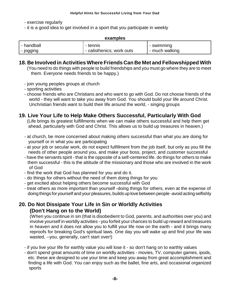- exercise regularly

- it is a good idea to get involved in a sport that you participate in weekly

#### **examples**

| - handball | - tennis                  | - swimming     |
|------------|---------------------------|----------------|
| - jogging  | - calisthenics: work outs | - much walking |

#### **18. Be Involved in Activities Where Friends Can Be Met and Fellowshipped With**

(You need to do things with people to build friendships and you must go where they are to meet them. Everyone needs friends to be happy.)

- join young peoples groups at church
- sporting activities

- choose friends who are Christians and who want to go with God. Do not choose friends of the world - they will want to take you away from God. You should build your life around Christ. Unchristian friends want to build their life around the world, - singing groups

#### **19. Live Your Life to Help Make Others Successful, Particularly With God**

(Life brings its greatest fulfillments when we can make others successful and help them get ahead, particularly with God and Christ. This allows us to build up treasures in heaven.)

- at church, be more concerned about making others successful than what you are doing for yourself or in what you are participating
- at your job or secular work, do not expect fulfillment from the job itself, but only as you fill the needs of other people around you, and make your boss, project, and customer successful
- have the servants spirit that is the opposite of a self-centered life. do things for others to make them successful - this is the attitude of the missionary and those who are involved in the work of God
- find the work that God has planned for you and do it.
- do things for others without the need of them doing things for you
- get excited about helping others become successful with God
- treat others as more important than yourself -doing things for others, even at the expense of doing things for yourself and your pleasures, builds up love between people -avoid acting selfishly

## **20. Do Not Dissipate Your Life in Sin or Worldly Activities (Don't Hang on to the World)**

(When you continue in sin (that is disobedient to God, parents, and authorities over you) and involve yourself in worldly activities - you forfeit your chances to build up reward and treasures in heaven and it does not allow you to fulfill your life now on the earth - and it brings many reproofs for breaking God's spiritual laws. One day you will wake up and find your life was wasted, --you, generally, can't start over!)

- if you live your life for earthly value you will lose it so don't hang on to earthly values
- don't spend great amounts of time on worldly activities movies, TV, computer games, ipods, etc. these are designed to use your time and keep you away from great accomplishment and finding a life with God. You can enjoy such as the ballet, fine arts, and occasional organized sports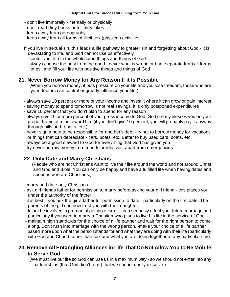- don't live immorally mentally or physically
- don't read dirty books or tell dirty jokes
- keep away from pornography
- keep away from all forms of illicit sex (physical) activities
- If you live in sexual sin, this leads a life pathway to greater sin and forgetting about God it is devastating to life, and God cannot use us effectively
- center your life in the wholesome things and things of God
- always choose the best from the good never what is wrong or bad -separate from all forms of evil and fill your life with positive things and things of God

# **21. Never Borrow Money for Any Reason If it Is Possible**

- (When you borrow money, it puts pressure on your life and you lose freedom, those who are your debtors can control or greatly influence your life.)
- always save 10 percent or more of your income and invest it where it can grow or gain interest
- saving money to spend tomorrow is not real savings, it is only postponed expenditures
- save 10 percent that you don't plan to spend for any reason
- always give 10 or more percent of your gross income to God. God greatly blesses you on your proper frame of mind toward him (if you don't give 10 percent, you will probably pay it anyway through bills and repairs, etc.)
- never sign a note to be responsible for another's debt -try not to borrow money for vacations or things that can depreciate - cars, boats, etc. Better to buy used cars, boats, etc.
- always be a good steward to God for everything that God has given you
- try never borrow money from friends or relatives, apart from emergencies

# **22. Only Date and Marry Christians**

(People who are not Christians want to live their life around the world and not around Christ and God and Bible. You can only be happy and have a fulfilled life when having dates and spouses who are Christians.)

- marry and date only Christians
- ask girl friends father for permission to marry before asking your girl friend this places you under the authority of the father
- it is best if you ask the girl's father for permission to date particularly on the first date. The parents of the girl can now trust you with their daughter.
- do not be involved in premarital petting or sex it can seriously effect your future marriage and particularly if you want to marry a Christian who plans to live his life in the service of God.
- maintain high standards for the choice of a life partner and wait for the right person to come along. Don't rush into marriage with the wrong person, -make your choice of a life partner based more upon what the person stands for and what they are doing with their life (particularly with God and Christ) rather than sex and what you are doing together at any particular time

#### **23. Remove All Entangling Alliances in Life That Do Not Allow You to Be Mobile to Serve God**

(We must live our life so God can use us in a maximum way - so we should not enter into any partnerships (that God didn't form) that we cannot easily dissolve.)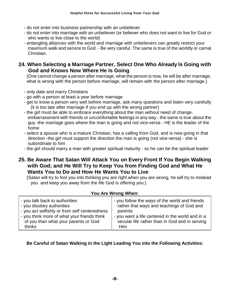- do not enter into business partnership with an unbeliever
- do not enter into marriage with an unbeliever (or believer who does not want to live for God or who wants to live close to the world)
- entangling alliances with the world and marriage with unbelievers can greatly restrict your maximum walk and service to God. - Be very careful. The same is true of the worldly or carnal Christian.

#### **24. When Selecting a Marriage Partner, Select One Who Already Is Going with God and Knows Now Where He Is Going**

(One cannot change a person after marriage, what the person is now, he will be after marriage, what is wrong with the person before marriage, will remain with the person after marriage.)

- only date and marry Christians
- go with a person at least a year before marriage
- get to know a person very well before marriage, ask many questions and listen very carefully (it is too late after marriage if you end up with the wrong partner)
- the girl must be able to embrace everything about the man without need of change, embarrassment with friends or uncomfortable feelings in any way - the same is true about the guy -the marriage goes where the man is going and not vice-versa - HE is the leader of the home
- select a spouse who is a mature Christian, has a calling from God, and is now going in that direction -the girl must support the direction the man is going (not vice-versa) - she is subordinate to him
- the girl should marry a man with greater spiritual maturity so he can be the spiritual leader
- **25. Be Aware That Satan Will Attack You on Every Front If You Begin Walking with God; and He Will Try to Keep You from Finding God and What He Wants You to Do and How He Wants You to Live**

(Satan will try to fool you into thinking you are right when you are wrong, he will try to mislead you and keep you away from the life God is offering you.)

| You Are Wrong When:                           |                                                  |  |  |  |
|-----------------------------------------------|--------------------------------------------------|--|--|--|
| - you talk back to authorities                | - you follow the ways of the world and friends   |  |  |  |
| - you disobey authorities                     | rather that ways and teachings of God and        |  |  |  |
| - you act selfishly or from self centeredness | parents                                          |  |  |  |
| - you think more of what your friends think   | - you want a life centered in the world and in a |  |  |  |
| of you than what your parents or God          | secular life rather than in God and in serving   |  |  |  |
| thinks                                        | Him                                              |  |  |  |

#### **Be Careful of Satan Walking in the Light Leading You into the Following Activities:**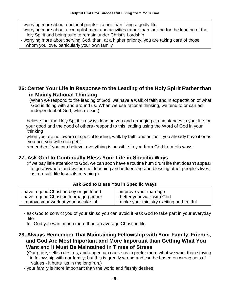- worrying more about doctrinal points rather than living a godly life
- worrying more about accomplishment and activities rather than looking for the leading of the Holy Spirit and being sure to remain under Christ's Lordship
- worrying more about serving God, than, at a higher priiority, you are taking care of those whom you love, particularly your own family

## **26: Center Your Life in Response to the Leading of the Holy Spirit Rather than in Mainly Rational Thinking**

(When we respond to the leading of God, we have a walk of faith and in expectation of what God is doing with and around us. When we use rational thinking, we tend to or can act independent of God, which is sin.)

- believe that the Holy Spirit is always leading you and arranging circumstances in your life for your good and the good of others -respond to this leading using the Word of God in your thinking
- when you are not aware of special leading, walk by faith and act as if you already have it or as you act, you will soon get it
- remember if you can believe, everything is possible to you from God from His ways

## **27. Ask God to Continually Bless Your Life in Specific Ways**

(If we pay little attention to God, we can soon have a routine hum drum life that doesn't appear to go anywhere and we are not touching and influencing and blessing other people's lives; as a result life loses its meaning.)

|  | Ask God to Bless You in Specific Ways |  |  |  |
|--|---------------------------------------|--|--|--|
|  |                                       |  |  |  |

| - have a good Christian boy or girl friend | - improve your marriage                    |
|--------------------------------------------|--------------------------------------------|
| - have a good Christian marriage partner   | - better your walk with God                |
| - improve your work at your secular job    | - make your ministry exciting and fruitful |

- ask God to convict you of your sin so you can avoid it -ask God to take part in your everyday life
- tell God you want much more than an average Christian life
- **28. Always Remember That Maintaining Fellowship with Your Family, Friends, and God Are Most Important and More Important than Getting What You Want and It Must Be Maintained in Times of Stress**

(Our pride, selfish desires, and anger can cause us to prefer more what we want than staying in fellowship with our family, but this is greatly wrong and csn be based on wrong sets of values - it hurts us in the long run.)

- your family is more important than the world and fleshly desires